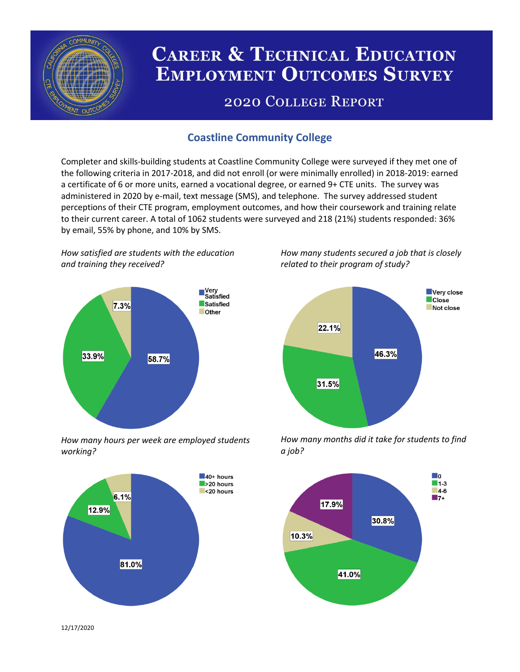

# **CAREER & TECHNICAL EDUCATION EMPLOYMENT OUTCOMES SURVEY**

## **2020 COLLEGE REPORT**

## **Coastline Community College**

Completer and skills-building students at Coastline Community College were surveyed if they met one of the following criteria in 2017-2018, and did not enroll (or were minimally enrolled) in 2018-2019: earned a certificate of 6 or more units, earned a vocational degree, or earned 9+ CTE units. The survey was administered in 2020 by e-mail, text message (SMS), and telephone. The survey addressed student perceptions of their CTE program, employment outcomes, and how their coursework and training relate to their current career. A total of 1062 students were surveyed and 218 (21%) students responded: 36% by email, 55% by phone, and 10% by SMS.

*How satisfied are students with the education and training they received?*



*How many hours per week are employed students working?*



*How many students secured a job that is closely related to their program of study?*



*How many months did it take for students to find a job?*



12/17/2020